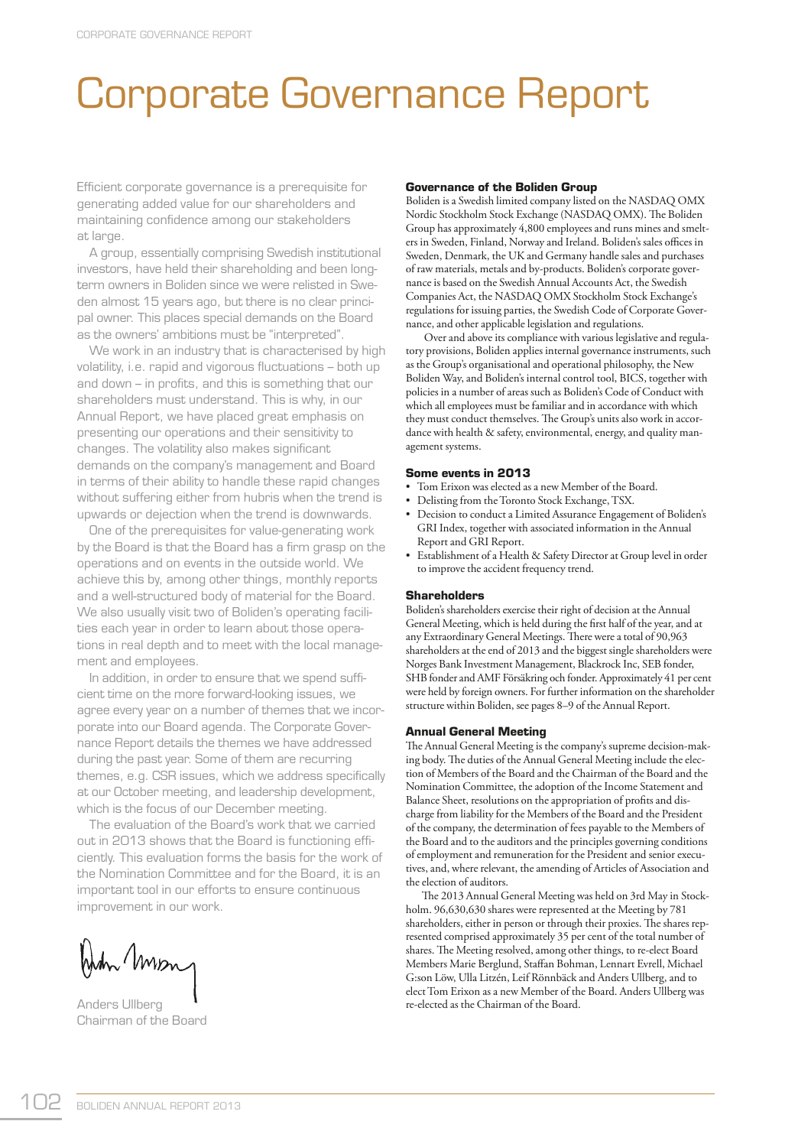# Corporate Governance Report

Efficient corporate governance is a prerequisite for generating added value for our shareholders and maintaining confidence among our stakeholders at large.

 A group, essentially comprising Swedish institutional investors, have held their shareholding and been longterm owners in Boliden since we were relisted in Sweden almost 15 years ago, but there is no clear principal owner. This places special demands on the Board as the owners' ambitions must be "interpreted".

 We work in an industry that is characterised by high volatility, i.e. rapid and vigorous fluctuations - both up and down  $-$  in profits, and this is something that our shareholders must understand. This is why, in our Annual Report, we have placed great emphasis on presenting our operations and their sensitivity to changes. The volatility also makes significant demands on the company's management and Board in terms of their ability to handle these rapid changes without suffering either from hubris when the trend is upwards or dejection when the trend is downwards.

 One of the prerequisites for value-generating work by the Board is that the Board has a firm grasp on the operations and on events in the outside world. We achieve this by, among other things, monthly reports and a well-structured body of material for the Board. We also usually visit two of Boliden's operating facilities each year in order to learn about those operations in real depth and to meet with the local management and employees.

In addition, in order to ensure that we spend sufficient time on the more forward-looking issues, we agree every year on a number of themes that we incorporate into our Board agenda. The Corporate Governance Report details the themes we have addressed during the past year. Some of them are recurring themes, e.g. CSR issues, which we address specifically at our October meeting, and leadership development, which is the focus of our December meeting.

 The evaluation of the Board's work that we carried out in 2013 shows that the Board is functioning efficiently. This evaluation forms the basis for the work of the Nomination Committee and for the Board, it is an important tool in our efforts to ensure continuous improvement in our work.

When Mon

Anders Ullberg Chairman of the Board

# **Governance of the Boliden Group**

Boliden is a Swedish limited company listed on the NASDAQ OMX Nordic Stockholm Stock Exchange (NASDAQ OMX). The Boliden Group has approximately 4,800 employees and runs mines and smelters in Sweden, Finland, Norway and Ireland. Boliden's sales offices in Sweden, Denmark, the UK and Germany handle sales and purchases of raw materials, metals and by-products. Boliden's corporate governance is based on the Swedish Annual Accounts Act, the Swedish Companies Act, the NASDAQ OMX Stockholm Stock Exchange's regulations for issuing parties, the Swedish Code of Corporate Governance, and other applicable legislation and regulations.

 Over and above its compliance with various legislative and regulatory provisions, Boliden applies internal governance instruments, such as the Group's organisational and operational philosophy, the New Boliden Way, and Boliden's internal control tool, BICS, together with policies in a number of areas such as Boliden's Code of Conduct with which all employees must be familiar and in accordance with which they must conduct themselves. The Group's units also work in accordance with health & safety, environmental, energy, and quality management systems.

#### **Some events in 2013**

- Tom Erixon was elected as a new Member of the Board.
- Delisting from the Toronto Stock Exchange, TSX.
- Decision to conduct a Limited Assurance Engagement of Boliden's GRI Index, together with associated information in the Annual Report and GRI Report.
- Establishment of a Health & Safety Director at Group level in order to improve the accident frequency trend.

## **Shareholders**

Boliden's shareholders exercise their right of decision at the Annual General Meeting, which is held during the first half of the year, and at any Extraordinary General Meetings. There were a total of 90,963 shareholders at the end of 2013 and the biggest single shareholders were Norges Bank Investment Management, Blackrock Inc, SEB fonder, SHB fonder and AMF Försäkring och fonder. Approximately 41 per cent were held by foreign owners. For further information on the shareholder structure within Boliden, see pages 8–9 of the Annual Report.

#### **Annual General Meeting**

The Annual General Meeting is the company's supreme decision-making body. The duties of the Annual General Meeting include the election of Members of the Board and the Chairman of the Board and the Nomination Committee, the adoption of the Income Statement and Balance Sheet, resolutions on the appropriation of profits and discharge from liability for the Members of the Board and the President of the company, the determination of fees payable to the Members of the Board and to the auditors and the principles governing conditions of employment and remuneration for the President and senior executives, and, where relevant, the amending of Articles of Association and the election of auditors.

The 2013 Annual General Meeting was held on 3rd May in Stockholm. 96,630,630 shares were represented at the Meeting by 781 shareholders, either in person or through their proxies. The shares represented comprised approximately 35 per cent of the total number of shares. The Meeting resolved, among other things, to re-elect Board Members Marie Berglund, Staffan Bohman, Lennart Evrell, Michael G:son Löw, Ulla Litzén, Leif Rönnbäck and Anders Ullberg, and to elect Tom Erixon as a new Member of the Board. Anders Ullberg was re-elected as the Chairman of the Board.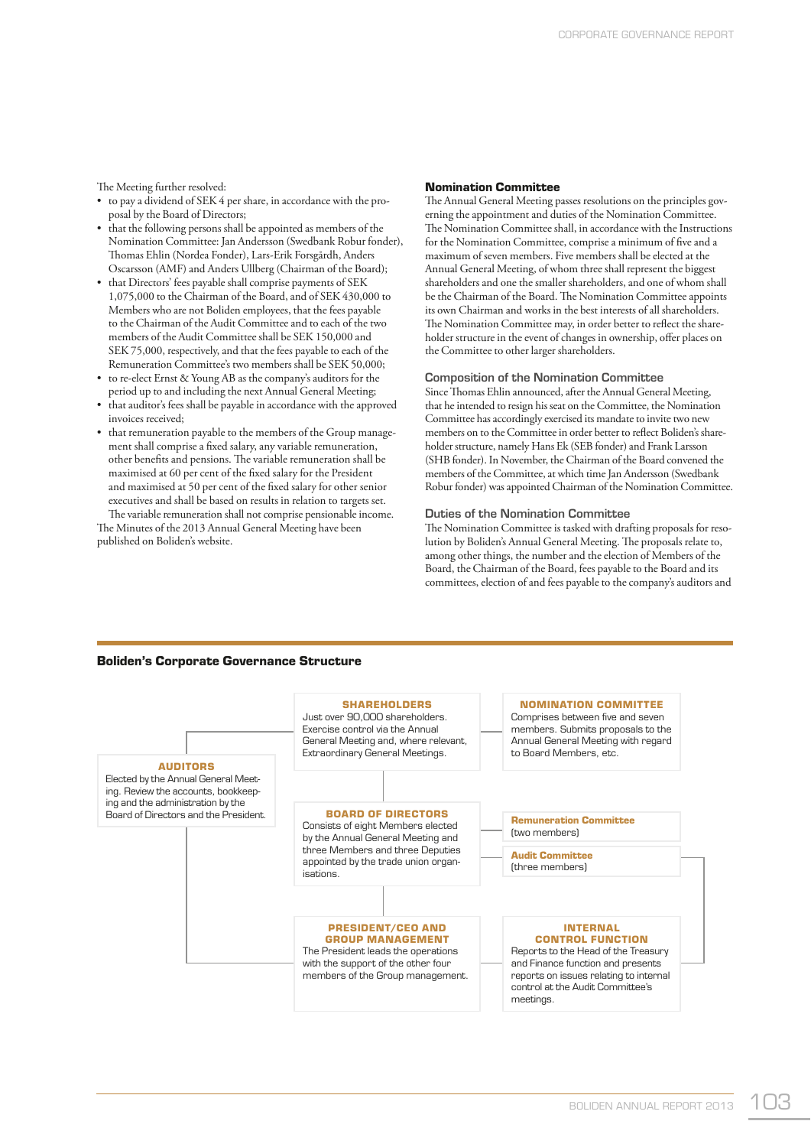The Meeting further resolved:

- to pay a dividend of SEK 4 per share, in accordance with the proposal by the Board of Directors;
- that the following persons shall be appointed as members of the Nomination Committee: Jan Andersson (Swedbank Robur fonder), Thomas Ehlin (Nordea Fonder), Lars-Erik Forsgårdh, Anders Oscarsson (AMF) and Anders Ullberg (Chairman of the Board);
- that Directors' fees payable shall comprise payments of SEK 1,075,000 to the Chairman of the Board, and of SEK 430,000 to Members who are not Boliden employees, that the fees payable to the Chairman of the Audit Committee and to each of the two members of the Audit Committee shall be SEK 150,000 and SEK 75,000, respectively, and that the fees payable to each of the Remuneration Committee's two members shall be SEK 50,000;
- to re-elect Ernst & Young AB as the company's auditors for the period up to and including the next Annual General Meeting;
- that auditor's fees shall be payable in accordance with the approved invoices received;
- that remuneration payable to the members of the Group management shall comprise a fixed salary, any variable remuneration, other benefits and pensions. The variable remuneration shall be maximised at 60 per cent of the fixed salary for the President and maximised at 50 per cent of the fixed salary for other senior executives and shall be based on results in relation to targets set.

The variable remuneration shall not comprise pensionable income. The Minutes of the 2013 Annual General Meeting have been published on Boliden's website.

#### **Nomination Committee**

The Annual General Meeting passes resolutions on the principles governing the appointment and duties of the Nomination Committee. The Nomination Committee shall, in accordance with the Instructions for the Nomination Committee, comprise a minimum of five and a maximum of seven members. Five members shall be elected at the Annual General Meeting, of whom three shall represent the biggest shareholders and one the smaller shareholders, and one of whom shall be the Chairman of the Board. The Nomination Committee appoints its own Chairman and works in the best interests of all shareholders. The Nomination Committee may, in order better to reflect the shareholder structure in the event of changes in ownership, offer places on the Committee to other larger shareholders.

#### **Composition of the Nomination Committee**

Since Thomas Ehlin announced, after the Annual General Meeting, that he intended to resign his seat on the Committee, the Nomination Committee has accordingly exercised its mandate to invite two new members on to the Committee in order better to reflect Boliden's shareholder structure, namely Hans Ek (SEB fonder) and Frank Larsson (SHB fonder). In November, the Chairman of the Board convened the members of the Committee, at which time Jan Andersson (Swedbank Robur fonder) was appointed Chairman of the Nomination Committee.

# **Duties of the Nomination Committee**

The Nomination Committee is tasked with drafting proposals for resolution by Boliden's Annual General Meeting. The proposals relate to, among other things, the number and the election of Members of the Board, the Chairman of the Board, fees payable to the Board and its committees, election of and fees payable to the company's auditors and

# **Boliden's Corporate Governance Structure**

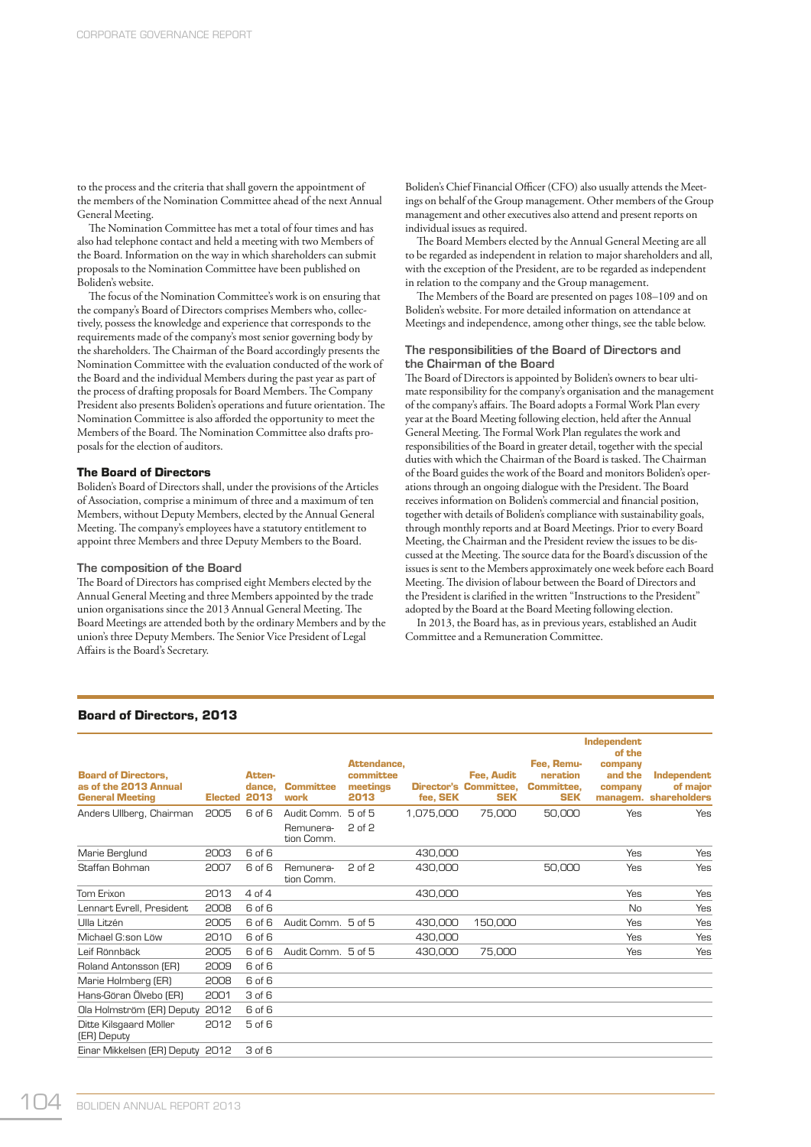to the process and the criteria that shall govern the appointment of the members of the Nomination Committee ahead of the next Annual General Meeting.

The Nomination Committee has met a total of four times and has also had telephone contact and held a meeting with two Members of the Board. Information on the way in which shareholders can submit proposals to the Nomination Committee have been published on Boliden's website.

The focus of the Nomination Committee's work is on ensuring that the company's Board of Directors comprises Members who, collectively, possess the knowledge and experience that corresponds to the requirements made of the company's most senior governing body by the shareholders. The Chairman of the Board accordingly presents the Nomination Committee with the evaluation conducted of the work of the Board and the individual Members during the past year as part of the process of drafting proposals for Board Members. The Company President also presents Boliden's operations and future orientation. The Nomination Committee is also afforded the opportunity to meet the Members of the Board. The Nomination Committee also drafts proposals for the election of auditors.

## **The Board of Directors**

Boliden's Board of Directors shall, under the provisions of the Articles of Association, comprise a minimum of three and a maximum of ten Members, without Deputy Members, elected by the Annual General Meeting. The company's employees have a statutory entitlement to appoint three Members and three Deputy Members to the Board.

#### **The composition of the Board**

The Board of Directors has comprised eight Members elected by the Annual General Meeting and three Members appointed by the trade union organisations since the 2013 Annual General Meeting. The Board Meetings are attended both by the ordinary Members and by the union's three Deputy Members. The Senior Vice President of Legal Affairs is the Board's Secretary.

Boliden's Chief Financial Officer (CFO) also usually attends the Meetings on behalf of the Group management. Other members of the Group management and other executives also attend and present reports on individual issues as required.

The Board Members elected by the Annual General Meeting are all to be regarded as independent in relation to major shareholders and all, with the exception of the President, are to be regarded as independent in relation to the company and the Group management.

The Members of the Board are presented on pages 108-109 and on Boliden's website. For more detailed information on attendance at Meetings and independence, among other things, see the table below.

# **The responsibilities of the Board of Directors and the Chairman of the Board**

The Board of Directors is appointed by Boliden's owners to bear ultimate responsibility for the company's organisation and the management of the company's affairs. The Board adopts a Formal Work Plan every year at the Board Meeting following election, held after the Annual General Meeting. The Formal Work Plan regulates the work and responsibilities of the Board in greater detail, together with the special duties with which the Chairman of the Board is tasked. The Chairman of the Board guides the work of the Board and monitors Boliden's operations through an ongoing dialogue with the President. The Board receives information on Boliden's commercial and financial position, together with details of Boliden's compliance with sustainability goals, through monthly reports and at Board Meetings. Prior to every Board Meeting, the Chairman and the President review the issues to be discussed at the Meeting. The source data for the Board's discussion of the issues is sent to the Members approximately one week before each Board Meeting. The division of labour between the Board of Directors and the President is clarified in the written "Instructions to the President" adopted by the Board at the Board Meeting following election.

In 2013, the Board has, as in previous years, established an Audit Committee and a Remuneration Committee.

| <b>Board of Directors.</b><br>as of the 2013 Annual<br><b>General Meeting</b> | <b>Elected</b> | Atten-<br>dance.<br>2013 | <b>Committee</b><br>work | Attendance.<br>committee<br>meetings<br>2013 | fee, SEK  | Fee. Audit<br><b>Director's Committee.</b><br><b>SEK</b> | Fee, Remu-<br>neration<br><b>Committee.</b><br><b>SEK</b> | Independent<br>of the<br>company<br>and the<br>company | <b>Independent</b><br>of major<br>managem. shareholders |
|-------------------------------------------------------------------------------|----------------|--------------------------|--------------------------|----------------------------------------------|-----------|----------------------------------------------------------|-----------------------------------------------------------|--------------------------------------------------------|---------------------------------------------------------|
| Anders Ullberg, Chairman                                                      | 2005           | 6 of 6                   | Audit Comm.<br>Remunera- | $5$ of $5$<br>2 of 2                         | 1,075,000 | 75,000                                                   | 50,000                                                    | Yes                                                    | Yes                                                     |
| Marie Berglund                                                                | 2003           | 6 of 6                   | tion Comm.               |                                              | 430,000   |                                                          |                                                           | Yes                                                    | Yes                                                     |
| Staffan Bohman                                                                | 2007           | 6 of 6                   | Remunera-<br>tion Comm.  | $2$ of $2$                                   | 430,000   |                                                          | 50,000                                                    | Yes                                                    | Yes                                                     |
| Tom Erixon                                                                    | 2013           | 4 of 4                   |                          |                                              | 430,000   |                                                          |                                                           | Yes                                                    | Yes                                                     |
| Lennart Evrell, President                                                     | 2008           | 6 of 6                   |                          |                                              |           |                                                          |                                                           | No                                                     | Yes                                                     |
| Ulla Litzén                                                                   | 2005           | 6 of 6                   | Audit Comm. 5 of 5       |                                              | 430,000   | 150,000                                                  |                                                           | Yes                                                    | Yes                                                     |
| Michael G:son Löw                                                             | 2010           | 6 of 6                   |                          |                                              | 430,000   |                                                          |                                                           | Yes                                                    | Yes                                                     |
| Leif Rönnbäck                                                                 | 2005           | 6 of 6                   | Audit Comm. 5 of 5       |                                              | 430,000   | 75,000                                                   |                                                           | Yes                                                    | Yes                                                     |
| Roland Antonsson (ER)                                                         | 2009           | 6 of 6                   |                          |                                              |           |                                                          |                                                           |                                                        |                                                         |
| Marie Holmberg (ER)                                                           | 2008           | 6 of 6                   |                          |                                              |           |                                                          |                                                           |                                                        |                                                         |
| Hans-Göran Ölvebo (ER)                                                        | 2001           | 3 of 6                   |                          |                                              |           |                                                          |                                                           |                                                        |                                                         |
| Ola Holmström (ER) Deputy                                                     | 2012           | 6 of 6                   |                          |                                              |           |                                                          |                                                           |                                                        |                                                         |
| Ditte Kilsgaard Möller<br>(ER) Deputy                                         | 2012           | $5$ of $6$               |                          |                                              |           |                                                          |                                                           |                                                        |                                                         |
| Einar Mikkelsen (ER) Deputy 2012                                              |                | 3 of 6                   |                          |                                              |           |                                                          |                                                           |                                                        |                                                         |

# **Board of Directors, 2013**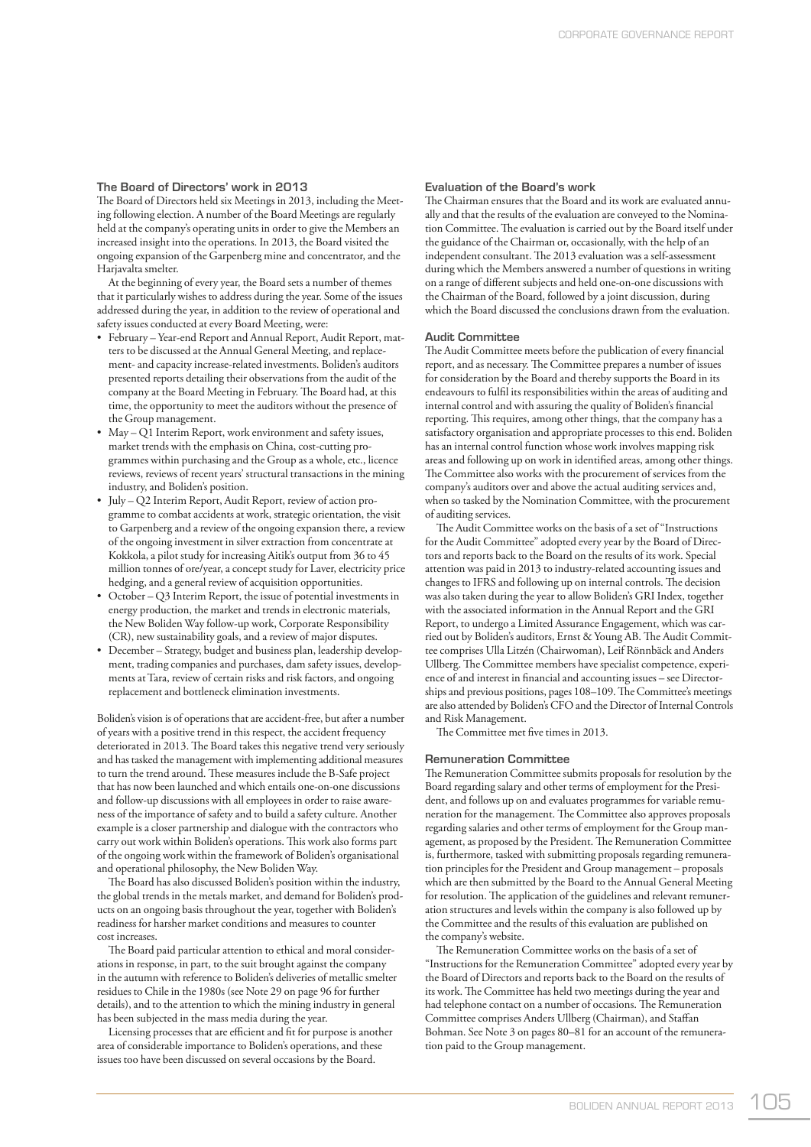# **The Board of Directors' work in 2013**

The Board of Directors held six Meetings in 2013, including the Meeting following election. A number of the Board Meetings are regularly held at the company's operating units in order to give the Members an increased insight into the operations. In 2013, the Board visited the ongoing expansion of the Garpenberg mine and concentrator, and the Harjavalta smelter.

At the beginning of every year, the Board sets a number of themes that it particularly wishes to address during the year. Some of the issues addressed during the year, in addition to the review of operational and safety issues conducted at every Board Meeting, were:

- February Year-end Report and Annual Report, Audit Report, matters to be discussed at the Annual General Meeting, and replacement- and capacity increase-related investments. Boliden's auditors presented reports detailing their observations from the audit of the company at the Board Meeting in February. The Board had, at this time, the opportunity to meet the auditors without the presence of the Group management.
- May Q1 Interim Report, work environment and safety issues, market trends with the emphasis on China, cost-cutting programmes within purchasing and the Group as a whole, etc., licence reviews, reviews of recent years' structural transactions in the mining industry, and Boliden's position.
- July Q2 Interim Report, Audit Report, review of action programme to combat accidents at work, strategic orientation, the visit to Garpenberg and a review of the ongoing expansion there, a review of the ongoing investment in silver extraction from concentrate at Kokkola, a pilot study for increasing Aitik's output from 36 to 45 million tonnes of ore/year, a concept study for Laver, electricity price hedging, and a general review of acquisition opportunities.
- October Q3 Interim Report, the issue of potential investments in energy production, the market and trends in electronic materials, the New Boliden Way follow-up work, Corporate Responsibility (CR), new sustainability goals, and a review of major disputes.
- December Strategy, budget and business plan, leadership development, trading companies and purchases, dam safety issues, developments at Tara, review of certain risks and risk factors, and ongoing replacement and bottleneck elimination investments.

Boliden's vision is of operations that are accident-free, but after a number of years with a positive trend in this respect, the accident frequency deteriorated in 2013. The Board takes this negative trend very seriously and has tasked the management with implementing additional measures to turn the trend around. These measures include the B-Safe project that has now been launched and which entails one-on-one discussions and follow-up discussions with all employees in order to raise awareness of the importance of safety and to build a safety culture. Another example is a closer partnership and dialogue with the contractors who carry out work within Boliden's operations. This work also forms part of the ongoing work within the framework of Boliden's organisational and operational philosophy, the New Boliden Way.

The Board has also discussed Boliden's position within the industry, the global trends in the metals market, and demand for Boliden's products on an ongoing basis throughout the year, together with Boliden's readiness for harsher market conditions and measures to counter cost increases.

The Board paid particular attention to ethical and moral considerations in response, in part, to the suit brought against the company in the autumn with reference to Boliden's deliveries of metallic smelter residues to Chile in the 1980s (see Note 29 on page 96 for further details), and to the attention to which the mining industry in general has been subjected in the mass media during the year.

Licensing processes that are efficient and fit for purpose is another area of considerable importance to Boliden's operations, and these issues too have been discussed on several occasions by the Board.

#### **Evaluation of the Board's work**

The Chairman ensures that the Board and its work are evaluated annually and that the results of the evaluation are conveyed to the Nomination Committee. The evaluation is carried out by the Board itself under the guidance of the Chairman or, occasionally, with the help of an independent consultant. The 2013 evaluation was a self-assessment during which the Members answered a number of questions in writing on a range of different subjects and held one-on-one discussions with the Chairman of the Board, followed by a joint discussion, during which the Board discussed the conclusions drawn from the evaluation.

#### **Audit Committee**

The Audit Committee meets before the publication of every financial report, and as necessary. The Committee prepares a number of issues for consideration by the Board and thereby supports the Board in its endeavours to fulfil its responsibilities within the areas of auditing and internal control and with assuring the quality of Boliden's financial reporting. This requires, among other things, that the company has a satisfactory organisation and appropriate processes to this end. Boliden has an internal control function whose work involves mapping risk areas and following up on work in identified areas, among other things. The Committee also works with the procurement of services from the company's auditors over and above the actual auditing services and, when so tasked by the Nomination Committee, with the procurement of auditing services.

The Audit Committee works on the basis of a set of "Instructions for the Audit Committee" adopted every year by the Board of Directors and reports back to the Board on the results of its work. Special attention was paid in 2013 to industry-related accounting issues and changes to IFRS and following up on internal controls. The decision was also taken during the year to allow Boliden's GRI Index, together with the associated information in the Annual Report and the GRI Report, to undergo a Limited Assurance Engagement, which was carried out by Boliden's auditors, Ernst & Young AB. The Audit Committee comprises Ulla Litzén (Chairwoman), Leif Rönnbäck and Anders Ullberg. The Committee members have specialist competence, experience of and interest in financial and accounting issues – see Directorships and previous positions, pages 108-109. The Committee's meetings are also attended by Boliden's CFO and the Director of Internal Controls and Risk Management.

The Committee met five times in 2013.

#### **Remuneration Committee**

The Remuneration Committee submits proposals for resolution by the Board regarding salary and other terms of employment for the President, and follows up on and evaluates programmes for variable remuneration for the management. The Committee also approves proposals regarding salaries and other terms of employment for the Group management, as proposed by the President. The Remuneration Committee is, furthermore, tasked with submitting proposals regarding remuneration principles for the President and Group management – proposals which are then submitted by the Board to the Annual General Meeting for resolution. The application of the guidelines and relevant remuneration structures and levels within the company is also followed up by the Committee and the results of this evaluation are published on the company's website.

The Remuneration Committee works on the basis of a set of "Instructions for the Remuneration Committee" adopted every year by the Board of Directors and reports back to the Board on the results of its work. The Committee has held two meetings during the year and had telephone contact on a number of occasions. The Remuneration Committee comprises Anders Ullberg (Chairman), and Staffan Bohman. See Note 3 on pages 80–81 for an account of the remuneration paid to the Group management.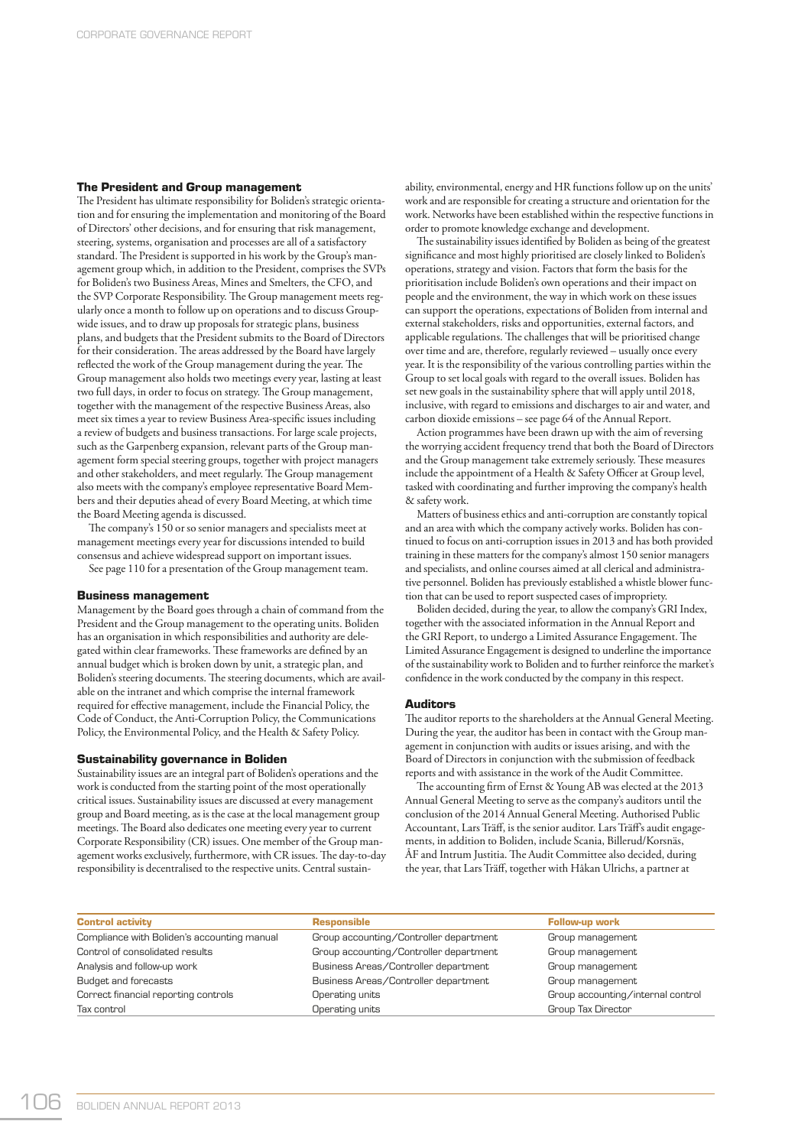# **The President and Group management**

The President has ultimate responsibility for Boliden's strategic orientation and for ensuring the implementation and monitoring of the Board of Directors' other decisions, and for ensuring that risk management, steering, systems, organisation and processes are all of a satisfactory standard. The President is supported in his work by the Group's management group which, in addition to the President, comprises the SVPs for Boliden's two Business Areas, Mines and Smelters, the CFO, and the SVP Corporate Responsibility. The Group management meets regularly once a month to follow up on operations and to discuss Groupwide issues, and to draw up proposals for strategic plans, business plans, and budgets that the President submits to the Board of Directors for their consideration. The areas addressed by the Board have largely reflected the work of the Group management during the year. The Group management also holds two meetings every year, lasting at least two full days, in order to focus on strategy. The Group management, together with the management of the respective Business Areas, also meet six times a year to review Business Area-specific issues including a review of budgets and business transactions. For large scale projects, such as the Garpenberg expansion, relevant parts of the Group management form special steering groups, together with project managers and other stakeholders, and meet regularly. The Group management also meets with the company's employee representative Board Members and their deputies ahead of every Board Meeting, at which time the Board Meeting agenda is discussed.

The company's 150 or so senior managers and specialists meet at management meetings every year for discussions intended to build consensus and achieve widespread support on important issues.

See page 110 for a presentation of the Group management team.

#### **Business management**

Management by the Board goes through a chain of command from the President and the Group management to the operating units. Boliden has an organisation in which responsibilities and authority are delegated within clear frameworks. These frameworks are defined by an annual budget which is broken down by unit, a strategic plan, and Boliden's steering documents. The steering documents, which are available on the intranet and which comprise the internal framework required for effective management, include the Financial Policy, the Code of Conduct, the Anti-Corruption Policy, the Communications Policy, the Environmental Policy, and the Health & Safety Policy.

#### **Sustainability governance in Boliden**

Sustainability issues are an integral part of Boliden's operations and the work is conducted from the starting point of the most operationally critical issues. Sustainability issues are discussed at every management group and Board meeting, as is the case at the local management group meetings. The Board also dedicates one meeting every year to current Corporate Responsibility (CR) issues. One member of the Group management works exclusively, furthermore, with CR issues. The day-to-day responsibility is decentralised to the respective units. Central sustainability, environmental, energy and HR functions follow up on the units' work and are responsible for creating a structure and orientation for the work. Networks have been established within the respective functions in order to promote knowledge exchange and development.

The sustainability issues identified by Boliden as being of the greatest significance and most highly prioritised are closely linked to Boliden's operations, strategy and vision. Factors that form the basis for the prioritisation include Boliden's own operations and their impact on people and the environment, the way in which work on these issues can support the operations, expectations of Boliden from internal and external stakeholders, risks and opportunities, external factors, and applicable regulations. The challenges that will be prioritised change over time and are, therefore, regularly reviewed – usually once every year. It is the responsibility of the various controlling parties within the Group to set local goals with regard to the overall issues. Boliden has set new goals in the sustainability sphere that will apply until 2018, inclusive, with regard to emissions and discharges to air and water, and carbon dioxide emissions – see page 64 of the Annual Report.

Action programmes have been drawn up with the aim of reversing the worrying accident frequency trend that both the Board of Directors and the Group management take extremely seriously. These measures include the appointment of a Health & Safety Officer at Group level, tasked with coordinating and further improving the company's health & safety work.

Matters of business ethics and anti-corruption are constantly topical and an area with which the company actively works. Boliden has continued to focus on anti-corruption issues in 2013 and has both provided training in these matters for the company's almost 150 senior managers and specialists, and online courses aimed at all clerical and administrative personnel. Boliden has previously established a whistle blower function that can be used to report suspected cases of impropriety.

Boliden decided, during the year, to allow the company's GRI Index, together with the associated information in the Annual Report and the GRI Report, to undergo a Limited Assurance Engagement. The Limited Assurance Engagement is designed to underline the importance of the sustainability work to Boliden and to further reinforce the market's confidence in the work conducted by the company in this respect.

#### **Auditors**

The auditor reports to the shareholders at the Annual General Meeting. During the year, the auditor has been in contact with the Group management in conjunction with audits or issues arising, and with the Board of Directors in conjunction with the submission of feedback reports and with assistance in the work of the Audit Committee.

The accounting firm of Ernst & Young AB was elected at the 2013 Annual General Meeting to serve as the company's auditors until the conclusion of the 2014 Annual General Meeting. Authorised Public Accountant, Lars Träff, is the senior auditor. Lars Träff's audit engagements, in addition to Boliden, include Scania, Billerud/Korsnäs, ÅF and Intrum Justitia. The Audit Committee also decided, during the year, that Lars Träff, together with Håkan Ulrichs, a partner at

| <b>Control activity</b>                     | <b>Responsible</b>                     | <b>Follow-up work</b>             |
|---------------------------------------------|----------------------------------------|-----------------------------------|
| Compliance with Boliden's accounting manual | Group accounting/Controller department | Group management                  |
| Control of consolidated results             | Group accounting/Controller department | Group management                  |
| Analysis and follow-up work                 | Business Areas/Controller department   | Group management                  |
| Budget and forecasts                        | Business Areas/Controller department   | Group management                  |
| Correct financial reporting controls        | Operating units                        | Group accounting/internal control |
| Tax control                                 | Operating units                        | Group Tax Director                |